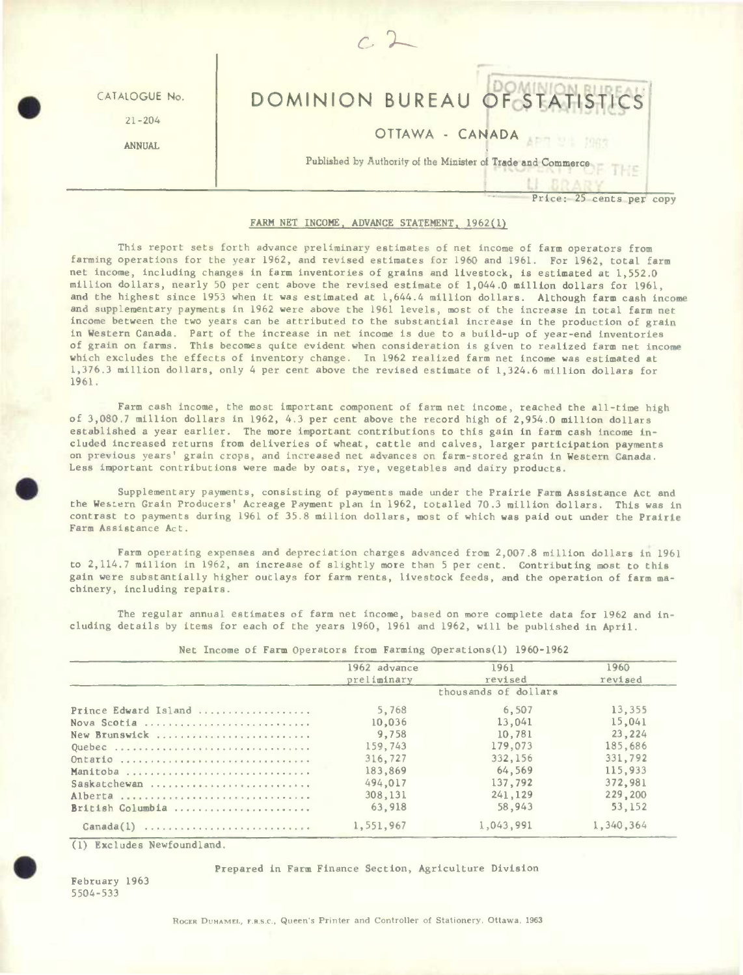CATAlOGUE No

21-204

ANNUAL

DOMINION BUREAU

OTTAWA - CANADA

**Published by Authority of the Minister of Trade** and **Commerce** 

Price: 25 cents per copy

## FARM NET INCOME, ADVANCE STATEMENT, 1962(1)

 $c2$ 

This report sets forth advance preliminary estimates of net income of farm operators from farming operations for the year 1962, and revised estimates for 1960 and 1961. For 1962, total farm net income, including changes in *farm* inventories of grains and livestock, is estimated at 1,552.0 million dollars, nearly 50 per cent above the revised estimate of 1,044.0 million dollars for 1961, and the highest since 1953 when it was estimated at 1,644.4 million dollars. Although farm cash income and supplementary payments in 1962 were above the 1961 levels, most of the increase in total farm net income between the two years can be attributed to the substantial increase in the production of grain in Western Canada. Part of the increase in net income is due to a build-up of year-end inventories of grain on farms. This becomes quite evident when consideration is given to realized farm net income which excludes the effects of inventory change. In 1962 realized farm net income was estimated at 1,376.3 million dollars, only 4 per cent above the revised estimate of 1,324.6 million dollars for 1961.

Farm cash income, the most important component of farm net income, reached the all-time high of 3,080.7 million dollars in 1962, 4.3 per cent above the record high of 2,954.0 million dollars established a year earlier. The more important contributions to this gain in farm cash income included increased returns from deliveries of wheat, cattle and calves, larger participation payments on previous years' grain crops, and increased net advances on farm-stored grain in Western Canada. Less important contributions were made by oats, rye, vegetables and dairy products.

Supplementary payments, consisting of payments made under the Prairie Farm Assistance Act and the Wes.ern Grain Producers' Acreage Payment plan in 1962, totalled 70.3 million dollars. This was in contrast to payments during 1961 of 35.8 milLion dollars, most of which was paid out under the Prairie Farm Assistance Act.

Farm operating expenses and depreciation charges advanced from 2,007.8 million dollars in 1961 to 2,114.7 million in 1962, an increase of slightly more than 5 per cent. Contributing most to this gain were substantially higher outlays for farm rents, livestock feeds, and the operation of farm machinery, including repairs.

The regular annual estimates of farm net income, based on more complete data for 1962 and including details by items for each of the years 1960, 1961 and 1962, will be published in April.

Net Income of Farm Operators from Farming Operations(1) 1960-1962

|                                                                                  | 1962 advance         | 1961      | 1960      |  |  |  |  |
|----------------------------------------------------------------------------------|----------------------|-----------|-----------|--|--|--|--|
|                                                                                  | preliminary          | revised   | revised   |  |  |  |  |
|                                                                                  | thousands of dollars |           |           |  |  |  |  |
| Prince Edward Island                                                             | 5.768                | 6,507     | 13,355    |  |  |  |  |
| Nova Scotia                                                                      | 10,036               | 13,041    | 15,041    |  |  |  |  |
| New Brunswick,                                                                   | 9,758                | 10.781    | 23,224    |  |  |  |  |
| Quebec                                                                           | 159,743              | 179,073   | 185,686   |  |  |  |  |
| Ontario                                                                          | 316.727              | 332,156   | 331,792   |  |  |  |  |
| Manitoba                                                                         | 183,869              | 64,569    | 115,933   |  |  |  |  |
| Saskatchewan                                                                     | 494,017              | 137,792   | 372.981   |  |  |  |  |
| Alberta                                                                          | 308,131              | 241,129   | 229,200   |  |  |  |  |
| British Columbia                                                                 | 63,918               | 58,943    | 53,152    |  |  |  |  |
| $\texttt{Canada(1)} \dots \dots \dots \dots \dots \dots \dots \dots \dots \dots$ | 1,551,967            | 1,043,991 | 1,340,364 |  |  |  |  |

(1) Excludes Newfoundland.

## Prepared in Farm Finance Section, Agriculture Division

February 1963 5504-533

.

.

ROGER DUHAMEL, F.R.S.C., Queen's Printer and Controller of Stationery, Ottawa. 1963